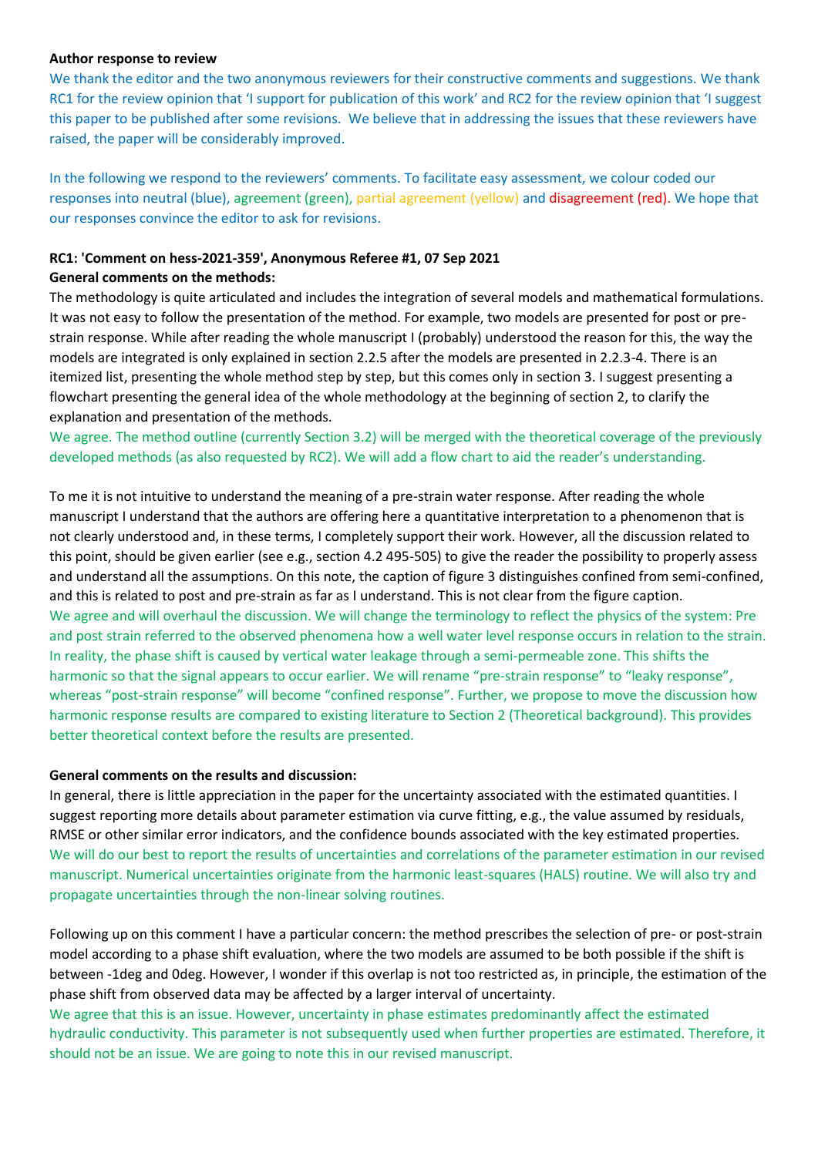### **Author response to review**

We thank the editor and the two anonymous reviewers for their constructive comments and suggestions. We thank RC1 for the review opinion that 'I support for publication of this work' and RC2 for the review opinion that 'I suggest this paper to be published after some revisions. We believe that in addressing the issues that these reviewers have raised, the paper will be considerably improved.

In the following we respond to the reviewers' comments. To facilitate easy assessment, we colour coded our responses into neutral (blue), agreement (green), partial agreement (yellow) and disagreement (red). We hope that our responses convince the editor to ask for revisions.

# **RC1: 'Comment on hess-2021-359', Anonymous Referee #1, 07 Sep 2021**

## **General comments on the methods:**

The methodology is quite articulated and includes the integration of several models and mathematical formulations. It was not easy to follow the presentation of the method. For example, two models are presented for post or prestrain response. While after reading the whole manuscript I (probably) understood the reason for this, the way the models are integrated is only explained in section 2.2.5 after the models are presented in 2.2.3-4. There is an itemized list, presenting the whole method step by step, but this comes only in section 3. I suggest presenting a flowchart presenting the general idea of the whole methodology at the beginning of section 2, to clarify the explanation and presentation of the methods.

We agree. The method outline (currently Section 3.2) will be merged with the theoretical coverage of the previously developed methods (as also requested by RC2). We will add a flow chart to aid the reader's understanding.

To me it is not intuitive to understand the meaning of a pre-strain water response. After reading the whole manuscript I understand that the authors are offering here a quantitative interpretation to a phenomenon that is not clearly understood and, in these terms, I completely support their work. However, all the discussion related to this point, should be given earlier (see e.g., section 4.2 495-505) to give the reader the possibility to properly assess and understand all the assumptions. On this note, the caption of figure 3 distinguishes confined from semi-confined, and this is related to post and pre-strain as far as I understand. This is not clear from the figure caption. We agree and will overhaul the discussion. We will change the terminology to reflect the physics of the system: Pre and post strain referred to the observed phenomena how a well water level response occurs in relation to the strain. In reality, the phase shift is caused by vertical water leakage through a semi-permeable zone. This shifts the harmonic so that the signal appears to occur earlier. We will rename "pre-strain response" to "leaky response", whereas "post-strain response" will become "confined response". Further, we propose to move the discussion how harmonic response results are compared to existing literature to Section 2 (Theoretical background). This provides better theoretical context before the results are presented.

# **General comments on the results and discussion:**

In general, there is little appreciation in the paper for the uncertainty associated with the estimated quantities. I suggest reporting more details about parameter estimation via curve fitting, e.g., the value assumed by residuals, RMSE or other similar error indicators, and the confidence bounds associated with the key estimated properties. We will do our best to report the results of uncertainties and correlations of the parameter estimation in our revised manuscript. Numerical uncertainties originate from the harmonic least-squares (HALS) routine. We will also try and propagate uncertainties through the non-linear solving routines.

Following up on this comment I have a particular concern: the method prescribes the selection of pre- or post-strain model according to a phase shift evaluation, where the two models are assumed to be both possible if the shift is between -1deg and 0deg. However, I wonder if this overlap is not too restricted as, in principle, the estimation of the phase shift from observed data may be affected by a larger interval of uncertainty.

We agree that this is an issue. However, uncertainty in phase estimates predominantly affect the estimated hydraulic conductivity. This parameter is not subsequently used when further properties are estimated. Therefore, it should not be an issue. We are going to note this in our revised manuscript.